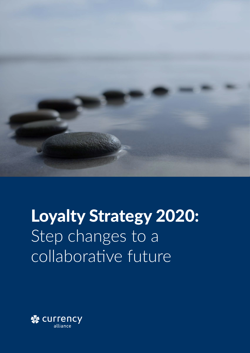

# Loyalty Strategy 2020: Step changes to a collaborative future

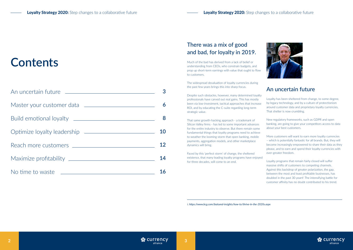

# **Contents**

|                                          | 6  |
|------------------------------------------|----|
|                                          | 8  |
|                                          | 10 |
| Reach more customers <b>example 2000</b> | 12 |
|                                          | 14 |
| No time to waste                         |    |

## There was a mix of good and bad, for loyalty in 2019.

Much of the bad has derived from a lack of belief or understanding from CEOs, who constrain budgets, and prop up short-term earnings with value that ought to flow to customers.

The widespread devaluation of loyalty currencies during the past few years brings this into sharp focus.

Despite such obstacles, however, many determined loyalty professionals have carved out real gains. This has mostly been via low-investment, tactical approaches that increase ROI, and by educating the C-suite regarding long-term strategic value.

That same growth-hacking approach - a trademark of Silicon Valley firms - has led to some important advances for the entire industry to observe. But there remain some fundamental things that loyalty programs need to achieve to weather the looming storm that open banking, mobile payments, aggregation models, and other marketplace dynamics will bring.

Faced by this 'perfect storm' of change, the sheltered existence, that many leading loyalty programs have enjoyed for three decades, will come to an end.

### An uncertain future

Loyalty has been sheltered from change, to some degree, by legacy technology, and by a culture of protectionism around customer data and proprietary loyalty currencies. That shelter is now crumbling.

New regulatory frameworks, such as GDPR and open banking, are going to give your competitors access to data about your best customers.

More customers will want to earn more loyalty currencies – which is potentially fantastic for all brands. But, they will become increasingly empowered to share their data as they please, and to earn and spend their loyalty currencies with ever-greater freedom.

Loyalty programs that remain fairly closed will suffer massive shifts of customers to competing channels. Against this backdrop of greater polarization, the gap, between the most and least profitable businesses, has doubled in the past 30 years**<sup>i</sup>** . The intensifying battle for customer affinity has no doubt contributed to his trend.



*i. https://www.bcg.com/featured-insights/how-to/thrive-in-the-2020s.aspx*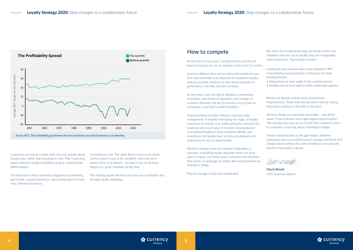### How to compete

At the start of every year, consulting firms promote all types of projects for you to consider in the next 12 months.

Currency Alliance does not provide professional services. Our only motivation is to promote the healthiest loyalty industry possible, because as each brand improves its performance, the tide rises for everyone.

As we enter a new decade of relentless competition, innovation, new forms of regulation, and changes in customer behavior, the key for brands is to go back to some basics and build a solid foundation.

That foundation includes effective customer data management. It includes leveraging the magic of loyalty currencies to restrain cost, while giving the customer the maximum perceived value. It includes moving beyond transactional loyalty to build emotional affinity, and investing in the loyalty team so they are prepared and empowered to act on opportunities.

It bears repeating that as the gap widens, between companies that successfully harness change, and those that change leaves behind, the costs of failing to innovate will become impossible to ignore.

PD 0291

All these changes have one strategic implication in common: of building loyalty networks which are more open in nature, and which grant customers the freedoms they desire, in exchange for better data and permission to maintain a dialog.

Massive change is hard and complicated.

But when the fundamental steps are broken down into initiatives that can run in parallel, they are manageable, tactical advances. Top priorities remain:

- *getting all your customer data in one enterprise CRM*
- *incentivizing more touchpoints so that you can build emotional loyalty*
- *being present at more stages in the customer journey*
- *creating new services/value in weeks, rather than quarters.*

Brands are already making these fundamental improvements. Those that execute them well are leaving those that continue to flounder in the dust.

All these things are eminently achievable – and all the easier, if you embrace more rapid digital transformation. This will give you easy access to the tools needed to listen to customers, and bring about meaningful change.

**Chuck Ehredt**, CEO, Currency Alliance



Customers are now in control. And, they are smarter about buying value rather than focusing on cost. That is precisely where effective loyalty marketing can give a brand better differentiation.

The best way to keep customers engaged is by delivering good value, a good experience, and trusting them to make wise, informed decisions.

Consistency is key. The value doesn't have to be 'great', service doesn't have to be 'excellent', and costs don't always have to be lowest – as long as you do all those things to a 'good' standard, all the time.

This strategy guide will show you how you accomplish that through loyalty marketing.

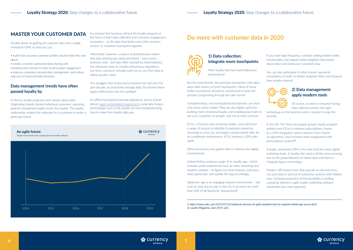## **6 7**

#### MASTER YOUR CUSTOMER DATA

Double-down on getting all customer data into a single enterprise CRM, so that you can…

- *build more accurate customer profiles around what they care about*
- *enable customer-authorized data sharing with*

*complementary brands in order to personalize engagement • improve compliance around data management, and reduce exposure to fraud and data breaches.*

#### **Data management trends have often passed loyalty by**

In theory, loyalty programs were always about data. Originating brands tracked individual customers' spending; partners broadened insight across the market. The loyalty relationship created the rationale for a customer to prefer a particular brand.

A customer-first business will put the loyalty program at the heart of their data collection and customer engagement ecosystem – as the glue that binds every other product, service, or customer touchpoint together.

Historically, however, a culture of protectionism meant that data-sharing was rarely prioritized - even across business units - and was often stymied by intermediaries. You obviously have to comply with privacy regulations, but most customers actually want you to use their data to deliver greater value.

The struggles that nearly every business has had over the past decade, to proactively manage data, has thrown these legacy deficiencies into the spotlight.

As offline touchpoints become digitalized, and as brands deliver [hyper-personalized experiences](http://blog.currencyalliance.com/2019/08/loyalty-personalization-harness-deep-insight-through-partner-brands/) using data-hungry technologies such as AI, brands are now troubleshooting how to make their loyalty data pay.



#### **1) Data collection: integrate more touchpoints**

Most loyalty data has historically been transactional.

But for many brands, the purchase transaction only takes place after dozens of prior touchpoints. Many of those earlier touchpoints should be incentivized to keep the prospect progressing through the sales funnel.

Complementary, non-transactional touchpoints can shed a lot more useful insight. They are also highly useful for building more emotional loyalty, and enabling your team to see your customers as people, and not as mere revenue.

A.T.U., a German auto servicing retailer, used data from a range of sources to identify if customers would be returning to a hot car, and target a points-based offer for air conditioner maintenance. A.T.U. enjoyed a 20% sales uplift.

Other businesses now gather data in entirely new digital environments.

United Airlines analyses usage of its loyalty app - which includes useful experiences such as video streaming and weather updates - to figure out what features customers most appreciate, and update the app accordingly.

Starbucks' app is an engaging rewards environment – and such an easy way to pay. In the US, it accounts for more than 40% of all Starbucks' transactions**ii** .

If you have high frequency, consider adding mobile wallet functionality, and capture really insightful information about when and what your customers buy.

You can also participate in other brands' payments ecosystems, in order to deliver targeted offers and measure how people respond.



#### **2) Data management: apply modern tools**

Of course, as well as consumer-facing data collection points, the right

technology on the business-side is needed to reap the benefits.

In the UK, *The Times* newspaper group's loyalty program yielded over £15m in retained subscriptions, thanks to a CRM integration which reduced churn 'based on algorithms, and increased daily engagement with personalized content.'**iii**

A single, enterprise CRM is the Holy Grail for every digital marketing team. In loyalty, the need is all the more pressing due to the preponderance of siloed data and hard-tointegrate legacy technology.

Modern, API-based tools, that operate as microservices, can pass data in and out of enterprise systems with relative ease. Growing awareness of this possibility is fuelling a growing interest in agile loyalty marketing software worldwide (see chart opposite).



## **Do more with customer data in 2020**



*ii. https://www.cnbc.com/2019/07/22/starbucks-licenses-its-gold-standard-tech-to-expand-mobile-app-access.html iii. Loyalty Magazine, June 2019, p26*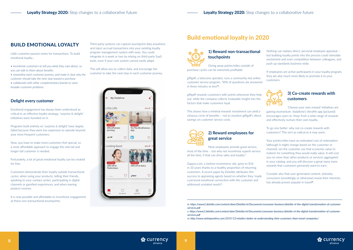### BUILD EMOTIONAL LOYALTY

Little customer passion exists for transactions. To build emotional loyalty…

- *incentivize customers to tell you what they care about, so you can talk to them about benefits*
- *streamline each customer journey, and make it clear why the customer should take the next step toward a purchase*
- *collaborate with other complementary brands to solve broader customer problems.*

#### **Delight every customer**

Emotional engagement has always been understood as critical to an effective loyalty strategy; 'surprise & delight' initiatives were founded on it.

Programs built entirely on 'surprise & delight' have largely failed because they were too expensive to operate beyond your most frequent customers.

Now, you have to make most customers feel special, so a more affordable approach to engage the mid-tail and longer-tail customer is needed.

Fortunately, a lot of great emotional loyalty can be created for free.

Customers demonstrate their loyalty outside transactional cycles: when using your products, telling their friends, speaking to your contact center, participating in digital channels or gamified experiences, and when leaving product reviews.

It is now possible and affordable to incentivize engagement at these non-transactional touchpoints.

Third-party systems can capture touchpoint data anywhere, and inject accrual transactions into your existing loyalty program management system with ease. You could integrate in a week or two by relying on third-party SaaS tools, even if your core system cannot easily adapt.

> If employees are active participants in your loyalty program, they are also much more likely to promote it to your customers.



This will allow you to collect data, and encourage the customer to take the next step in each customer journey.



#### **1) Reward non-transactional touchpoints**

Giving away points/miles outside of purchase cycles can be extremely profitable.

giffgaff, a telecoms operator, runs a community-led online customer service program. '50% of questions are answered in three minutes or less'**iv**.

giffgaff rewards customers with points whenever they help out, while the company collects invaluable insight into the factors that make customers loyal.

This shows how a minimal rewards investment can yield a virtuous circle of benefits – not to mention giffgaff's direct savings on customer service costs.

| the contract of the contract of |
|---------------------------------|

### **2) Reward employees for great service**

Most employees provide good service, most of the time – but why not incentivize superb service all the time, if that can drive sales and loyalty?

Zappos.com, a fashion ecommerce site, grew to \$1b in 10 years thanks to a healthy proportion of returning customers. A recent paper by Deloitte attributes this success to appraising agents based on whether they 'made a personal emotional connection with the customer and addressed unstated needs'**<sup>v</sup>** .

Nothing can replace direct, personal employee appraisal – but building loyalty points into the process could stimulate excitement and even competition between colleagues, and push up standards business-wide.

### **3) Co-create rewards with customers**

'Choose your own reward' initiatives are gaining momentum. Vodafone's VeryMe app (pictured) encourages users to 'shop' from a wide range of rewards and effectively nurture their own loyalty.

To go one better: why not co-create rewards with customers? This isn't as radical as it may seem.

Your points/miles have an estimated cost of redemption (although it might change based on the customer or channel). Let the customer use that economic value to redeem for something they would really value. It will cost you no more than other products or services aggregated in your catalog, and you will discover a great many more rewards that customers genuinely want to earn.

Consider also that user-generated content, whereby consumers (unwittingly or otherwise) reveal their interests, has already proven popular in travel**vi**.

## **Build emotional loyalty in 2020**



*iv. https://www2.deloitte.com/content/dam/Deloitte/nl/Documents/consumer-business/deloitte-nl-the-digital-transformation-of-customer-*



*services.pdf*

*v. https://www2.deloitte.com/content/dam/Deloitte/nl/Documents/consumer-business/deloitte-nl-the-digital-transformation-of-customerservices.pdf*

*vi. http://www.netimperative.com/2019/12/retailers-better-at-understanding-their-customers-than-travel-companies/*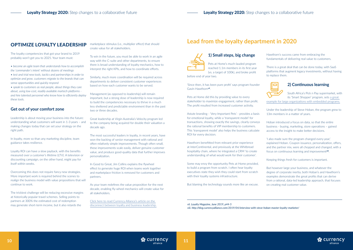### OPTIMIZE LOYALTY LEADERSHIP

The loyalty competencies that got your brand to 2019 probably won't get you to 2025. Your team must:

*• become an agile team that understands how to accomplish the 'commander's intent' without dozens of meetings*

*• test and trial new tools, tactics and partnerships in order to optimize and grow. customers migrate to the brands that can sense opportunities and quickly respond*

*• speak to customers as real people, about things they care about, using low-cost, readily available martech platforms and hire talented personnel who know how to efficiently deploy these tools.*

#### **Get out of your comfort zone**

Leadership is about moving your business into the future: understanding what customers will want in 1-3 years – and making changes today that can set your strategy on the right path.

In loyalty, more so than any marketing discipline, team guidance takes resilience.

Loyalty ROI can have a slow payback, with the benefits measured over a customer's lifetime (LTV). A television or discounting campaign, on the other hand, might pay for itself within weeks.

Overcoming this does not require fancy new strategies. More important work is required behind the scenes to realign the business model with value propositions that will continue to work.

In Good to Great, Jim Collins explains the flywheel effect to generate huge ROI when teams work together and marketplace friction is removed for customers and partners.

The trickiest challenge will be reducing excessive margins at historically popular travel schemes. Selling points to partners at 300% the estimated cost of redemption may generate short-term income, but it also retards the

marketplace stimulus (i.e., multiplier effect) that should create value for all stakeholders.

To win in the future, you must be able to work in an agile way with the C-suite and other departments, to ensure there is broad understanding of loyalty mechanics, how to interpret the right KPIs, and how to coordinate efforts.

Similarly, much more coordination will be required across departments to deliver consistent customer experiences based on how each customer wants to be served.

Management (as opposed to leadership) will remain important, but a strong dose of leadership is now required to build the competencies necessary to thrive in a much less sheltered and predictable environment than in the past two or three decades.

Great leadership at Virgin Australia's Velocity program led to the company being acquired for double their valuation a decade ago.

The most successful leaders in loyalty, in recent years, have won the backing of senior management with rational and often relatively simple improvements. Though often small, these improvements scale easily, deliver genuine customer value, and produce good-quality data that further improves personalization.

As your team redefines the value proposition for the next decade, enabling fly-wheel mechanics will create value for all stakeholders.

[Click here to read Currency Alliance's article on the](https://www.giftcardrecruitment.co.uk/disconnected-loyalty/)  [disconnect between loyalty and business leadership.](https://www.giftcardrecruitment.co.uk/disconnected-loyalty/) **1) Small steps, big change**

Pets at Home's much-lauded program reached 1.1m members in its first year (vs. a target of 100k), and broke profit

before end of year two.

'Since then, it has been pure profit' says program founder Gavin Hawthorn**vii**.

Pets at Home did this by providing value to every stakeholder to maximize engagement, rather than profit. The profit resulted from increased customer activity.

Astute branding - 'Very Important Pets' - provides a basis for emotional loyalty, while a 'transparent model' for transactions, showing exactly the savings, clearly conveys the rational benefits of VIP membership to customers. This 'transparent model' also helps the business calculate ROI for every decision.

Hawthorn benefitted from relevant prior experience at InterContinental, and previously at the Whitbread hospitality chain, where he integrated a CRM 'to create understanding of what would work for their customer'.

Some may envy the opportunity Pets at Home provided, to build a program from scratch. I often hear loyalty executives state they wish they could start from scratch with their loyalty systems infrastructure.

But blaming the technology sounds more like an excuse.

Hawthorn's success came from embracing the fundamentals of delivering real value to customers.

There is a great deal that can be done today, with SaaS platforms that augment legacy investments, without having to replace them.



#### **2) Continuous learning**

South Africa's Pick n Pay supermarket, with its 'Smart Shopper' program, sets [a great](http://blog.currencyalliance.com/2019/04/interview-with-steve-hoban-master-loyalty-marketer/)  [example for large organizations with embedded programs.](http://blog.currencyalliance.com/2019/04/interview-with-steve-hoban-master-loyalty-marketer/)

Under the leadership of Steve Hoban, the program grew to 13m members in a matter of years.

Hoban introduced a focus on data, so that the entire business - buying, marketing, store operations – gained access to the insight to make better decisions.

'I also made sure the program changed every year,' explained Hoban. Coupon issuance, personalization, offers, and the partner mix, were all chopped and changed, with a focus on continuous learning and improvement**viii**.

Keeping things fresh for customers is important.

But however large your business, and whatever the degree of corporate inertia, both Hoban's and Hawthorn's examples demonstrate the great profits that can derive from a rational, data-led leadership approach, that focuses on creating real customer value.



## **Lead from the loyalty department in 2020**



*vii. Loyalty Magazine, June 2019, p44-5 viii. http://blog.currencyalliance.com/2019/04/interview-with-steve-hoban-master-loyalty-marketer/*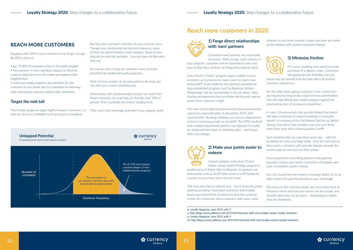### REACH MORE CUSTOMERS

Engaging with 20% of your customers is no longer enough. By 2025, strive to:

- *get 70-80% of customers active in the loyalty program*
- *have partners in every spending category, to influence customer behavior across the market and capture really insightful data*

*• make your loyalty program a key attraction for new customers to your brand, due to a reputation for delivering value and helping customers achieve their aspirations.*

#### **Target the mid-tail**

Most loyalty programs target highly-frequent customers, as they are the most profitable (such as business travellers).

But they also represent a fraction of your customer base. Though your existing mid-tail has less frequency, many of them do spend heavily in your category. Some of your long-tail are also big spenders – you just have no idea who they are.

As a result, mid-to-long tail customers have not been prioritized by traditional loyalty programs.

Most of these people can be persuaded to be loyal; just not with your current marketing mix.

Partnerships with complementary brands can unveil who those customers are, and help you find the next 10% of growth. That is probably the lowest-hanging fruit.

Then court their patronage and watch your program grow.



#### **1) Forge direct relationships with 'earn' partners**

Customers want rewards; not necessarily the points. With enough 'earn' partners in

your program, customers will be motivated to earn and save so that they can burn on things they want or need.

Cebu Pacific's 'GetGo' program targets middle-income members, as it promises to make travel 'so much more achievable'**ix**. It has relatively few partners compared to long-established programs such as American Airline's AAdvantage, but the partnerships it has are direct, datasharing arrangements that accelerate earning and capture much richer customer insight.

#### **2) Make your points easier to redeem**

A great example comes from Choice Hotels, whose Smart Privilege program is

positioned as 'A Faster Way to Rewards'. Customers can select perks such as \$2.50 Uber credit or a \$5 Starbucks voucher as soon they check into the hotel.

The value of the data that derives from these partnerships cannot be underestimated. In November 2019, Skift reported that, 'Booking Holdings sees brand collaborations as key to restoring growth on steroids**<sup>x</sup>** '. The OTA's foothold with multiple experiential partners has allowed it to build an unprecedented stash of marketing data – and target offers accordingly. In June, Citi announced a tie-up with MasterCard which will allow customers to redeem instantly on everyday items**xi**. In a reverse of the Citi/MasterCard tie-up, British Airways Executive Club members can now earn Avios when they shop with a linked payment card**xii**.

balances to put them towards a larger purchase and make up the balance with another payment method.



#### **3) Minimize friction**

Of course, enabling easy spend on small purchases is a slippery slope. Customers will appreciate the flexibility, but your

brand may not benefit from the halo effect of positive customer experiences.

On the other hand, giving customers more control over earning and burning sends a signal of trust and freedom. This will help defend your loyalty program against the accelerating pace of increased competition.

This may seem like an upfront cost – but it stops the points expiring (avoiding a frustrated customer), and instead, keeps your brand front of mind next time the customer travels. At a minimum, allow customers with lower point Of course, as the currency owner, you have many tools to influence where and how your points can be earned; and, at what value they can be spent – depending on where they are redeemed.

Such freedoms did not exist three years ago – with the exception of a few very large banks. Over the next two to three years, customers will naturally migrate towards the easiest ways to earn and use their points.

If you respond by preventing partners and payment providers issuing your points, customers will happily earn your competitors' points instead.

You can't avoid how the market is evolving. Better to be an early-mover and use this dynamic to your advantage.



### **Reach more customers in 2020**



*ix. Loyalty Magazine, June 2019, p44-5*

*xii. http://blog.currencyalliance.com/2019/04/interview-with-steve-hoban-master-loyalty-marketer/*

*x. http://blog.currencyalliance.com/2019/04/interview-with-steve-hoban-master-loyalty-marketer/ xi. Loyalty Magazine, June 2019, p44-5*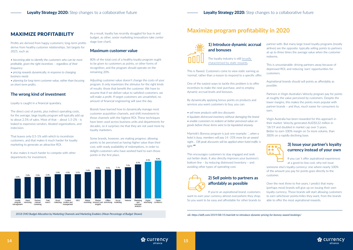#### **1) Introduce dynamic accrual and bonuses**

The loyalty industry is still [broadly](http://blog.currencyalliance.com/2019/10/its-almost-never-1-how-to-price-loyalty-rewards/)  [characterised by static rewards.](http://blog.currencyalliance.com/2019/10/its-almost-never-1-how-to-price-loyalty-rewards/)

This is flawed. Customers come to view static earning as 'normal', rather than a reason to respond to a specific offer.

One of the easiest ways to tackle this problem is to offer incentives to make the next purchase, and to employ dynamic accrual levels and bonuses.

By dynamically applying bonus points on products and services you want customers to buy, you can:

- *sell more products with less discounts*
- *liquidate distressed inventory without damaging the brand*
- *enable customers to redeem at better perceived value on goods before those items were to be liquidated anyway.*

Marriott's Bonvoy program is just one example: *'…when a hotel is busy, members will pay 14–33% more for an award night… Off-peak discounts will be applied when hotel traffic is light.'***xiii**

This encourages customers to stay engaged and seek out better deals. It also directly improves your business's bottom line – by reducing distressed inventory – and avoiding other types of operating cost.



### **2) Sell points to partners as affordably as possible**

If you're an aspirational brand, customers want to earn your currency almost everywhere they shop. So you want to be easy and affordable for other brands to

partner with. But many large travel loyalty programs (mostly airlines) are the opposite: typically selling points to partners at up to three times the average value when the customer redeems.

This is unsustainable: driving partners away because of depressed ROI, and reducing 'earn' opportunities for customers.

Aspirational brands should sell points as affordably as possible.

Partners in Virgin Australia's Velocity program pay for points at roughly the value perceived by customers. Despite the lower margins, this makes the points more popular with partner brands – and thus, much easier for consumers to earn.

Virgin Australia has been rewarded for this approach in their market. Velocity generated AUD\$122 million in '18/19 and doubled in market cap over 5 years. Better to earn 100% margin on 5x more volume, than 300% on a rapidly declining base.



#### **3) Issue your partner's loyalty currency instead of your own**

If you can´t offer aspirational experiences at a good-to-low cost, why not issue

someone else's loyalty currency: one where nearly 100% of the amount you pay for points goes directly to the customer.

Over the next three to five years, I predict that many (perhaps most) brands will give up on issuing their own loyalty currency. Those brands will start allowing customers to earn whichever points/miles they want, from the brands able to offer the most aspirational rewards.



## **Maximize program profitability in 2020**



*xiii. https://skift.com/2019/08/15/marriott-to-introduce-dynamic-pricing-for-bonvoy-award-bookings/ 2018 CMO Budget Allocation by Marketing Channels and Marketing Enablers (Mean Percentage of Budget Shown)*

### MAXIMIZE PROFITABILITY

Profits are derived from happy customers; long-term profits derive from healthy customer relationships. Set targets for 2025, such as:

*• becoming able to identify the customers who can be most profitable, given the right incentives – regardless of their frequency*

*• pricing rewards dynamically, in response to changing business needs*

*• planning for long-term customer value, rather than focusing on short-term profits.*

#### **The wrong kind of investment**

Loyalty is caught in a financial quandary.

The direct cost of points, plus indirect operating costs, for the average, large loyalty program will typically add up to about 2.5% of sales. Most of that – about 1.5-2% - is leaked to expensive vendors, bloated organizations, and indecision.

That leaves only 0.5-1% with which to incentivize customers, and that makes it much harder for loyalty marketing to generate an attractive ROI.

It also makes it much harder to compete with other departments for investment.

As a result, loyalty has recently struggled for buy-in and budget, as other, sexier marketing innovations take center stage (see chart).

#### **Maximum customer value**

80% of the total cost of a healthy loyalty program ought to be given to customers as points, or other forms of recognition, and the program should operate on the remaining 20%.

Adjusting customer value doesn't change the costs of your program. It only maximizes the stimulus for the right kinds of results: those that benefit the customer. We have to assume that if we deliver value to satisfied customers, we will make a profit. If target customers are unsatisfied, no amount of financial engineering will save the day.

Brands have learned how to dynamically manage most customer acquisition channels, and shift investment to those channels with the highest ROI. These techniques have been used across business units and departments for decades, so it surprises me that they are not used more by loyalty marketers.

Some brands, however, are making progress: allowing points to be perceived as having higher value than their cost, with ready availability of redemptions, in order to delight customers who have worked hard to earn those points in the first place.

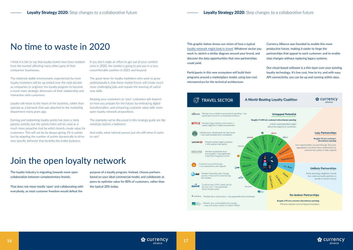I think it is fair to say that loyalty teams have been isolated from the turmoil affecting many other parts of their companies' businesses.

The relatively stable environment, experienced by most loyalty marketers will be up-ended over the next decade as companies re-engineer the loyalty program to become a much more strategic dimension of their relationship and interaction with customers.

Loyalty will move to the heart of the business, rather than operate as a barnacle that was attached to the marketing department many years ago.

Earning and redeeming loyalty points has been a fairly passive activity, but the points/miles will be used as a much more proactive tool by which brands create value for customers. This will not be by always giving 1% in points, but by adapting the number of points dynamically to drive very specific behavior that benefits the entire business.

If you don't make an effort to get out of your comfort zone in 2020, the market is going to put you in a very uncomfortable position in 2021 and beyond.

The good news for loyalty marketers who want to grow professionally is that these market forces will create much more challenging jobs and require the learning of useful new skills.

Keeping your customers as 'your' customers will depend on how you prepare for the future: by embracing digital transformation, and enhancing customer value with more open loyalty network propositions.

The examples we've discussed in this strategy guide are like raindrops before a hailstorm.

And really, what rational person just sits still when it starts to rain?

## Join the open loyalty network

The loyalty industry is migrating towards more open collaboration between complementary brands.

That does not mean totally 'open' and collaborating with everybody, as total customer freedom would defeat the

purpose of a loyalty program. Instead, choose partners based on your ideal commercial model, and collaborate as peers to optimize value for 80% of customers, rather than the typical 20% today.

This graphic below shows our vision of how a typical [loyalty network might look in travel](http://blog.currencyalliance.com/2019/09/travel-sector-how-to-build-a-winning-loyalty-program/). Whatever sector you work in, sketch a similar diagram around your brand, and discover the data opportunities that new partnerships could yield.

Participants in this new ecosystem will build their programs around a marketplace model, using low-cost microservices for the technical architecture.



Currency Alliance was founded to enable this more productive future, making it easier to forge the partnerships that appeal to each customer, and to enable step changes without replacing legacy systems.

Our cloud-based software is a thin layer over your existing loyalty technology. It's low cost, free to try, and with easy API connectivity, you can be up and running within days.



## No time to waste in 2020